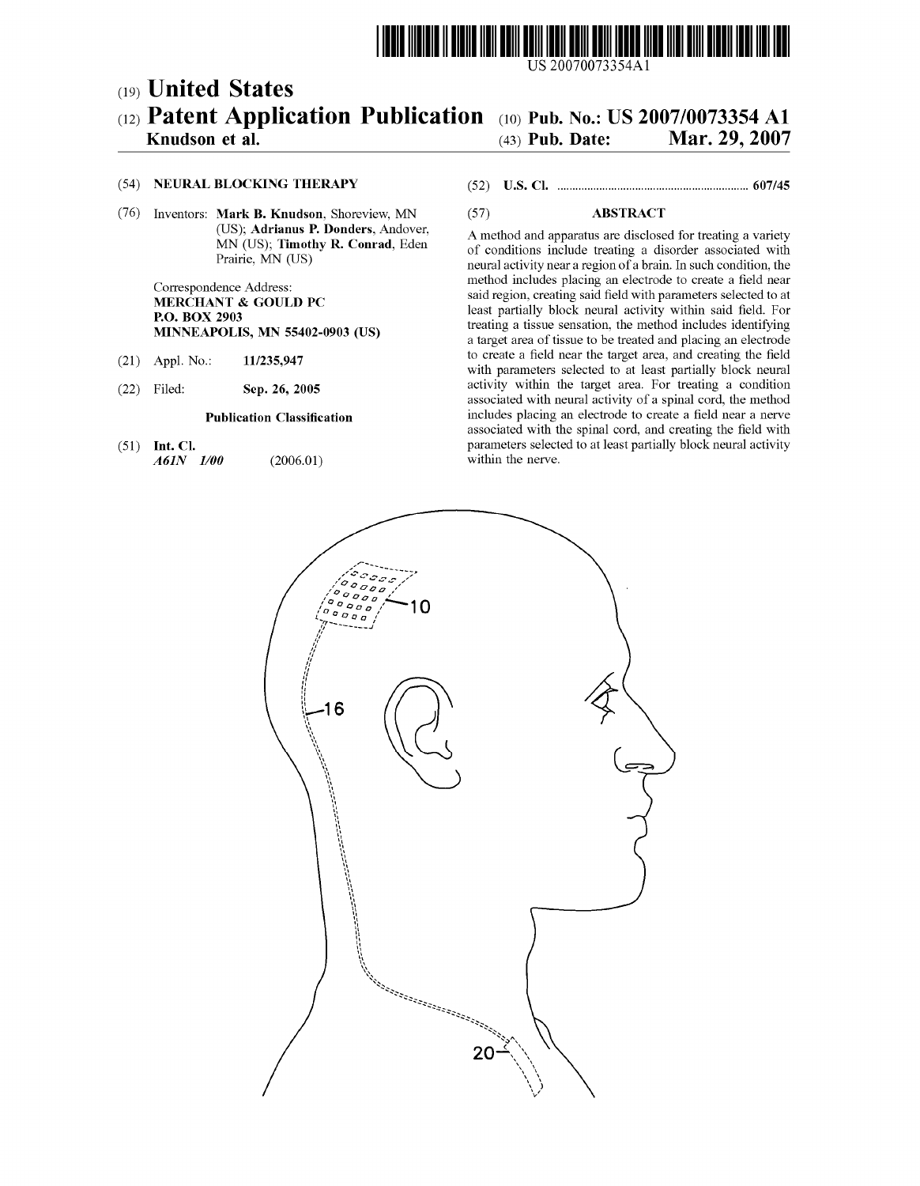

US 20070073354Al

# (12) Patent Application Publication (10) Pub. No.: US 2007/0073354 A1 (19) United States

# Knudson et al. (43) Pub. Date: Mar. 29, 2007

#### (54) NEURAL BLOCKING THERAPY

(76) Inventors: Mark B. Knudson, ShorevieW, MN (US); Adrianus P. Donders, Andover, MN (US); Timothy R. Conrad, Eden Prairie, MN (US)

> Correspondence Address: MERCHANT & GOULD PC P.O. BOX 2903 MINNEAPOLIS, MN 55402-0903 (US)

- (21) Appl. No.: 11/235,947
- (22) Filed: Sep. 26, 2005

#### Publication Classification

(51) Int. Cl. A61N 1/00 (2006.01)

## (52) Us. or. .............................................................. .. 607/45

### (57) ABSTRACT

A method and apparatus are disclosed for treating a variety of conditions include treating a disorder associated With neural activity near a region of a brain. In such condition, the method includes placing an electrode to create a field near said region, creating said field with parameters selected to at least partially block neural activity within said field. For treating a tissue sensation, the method includes identifying a target area of tissue to be treated and placing an electrode to create a field near the target area, and creating the field with parameters selected to at least partially block neural activity Within the target area. For treating a condition associated With neural activity of a spinal cord, the method includes placing an electrode to create a field near a nerve associated with the spinal cord, and creating the field with parameters selected to at least partially block neural activity Within the nerve.

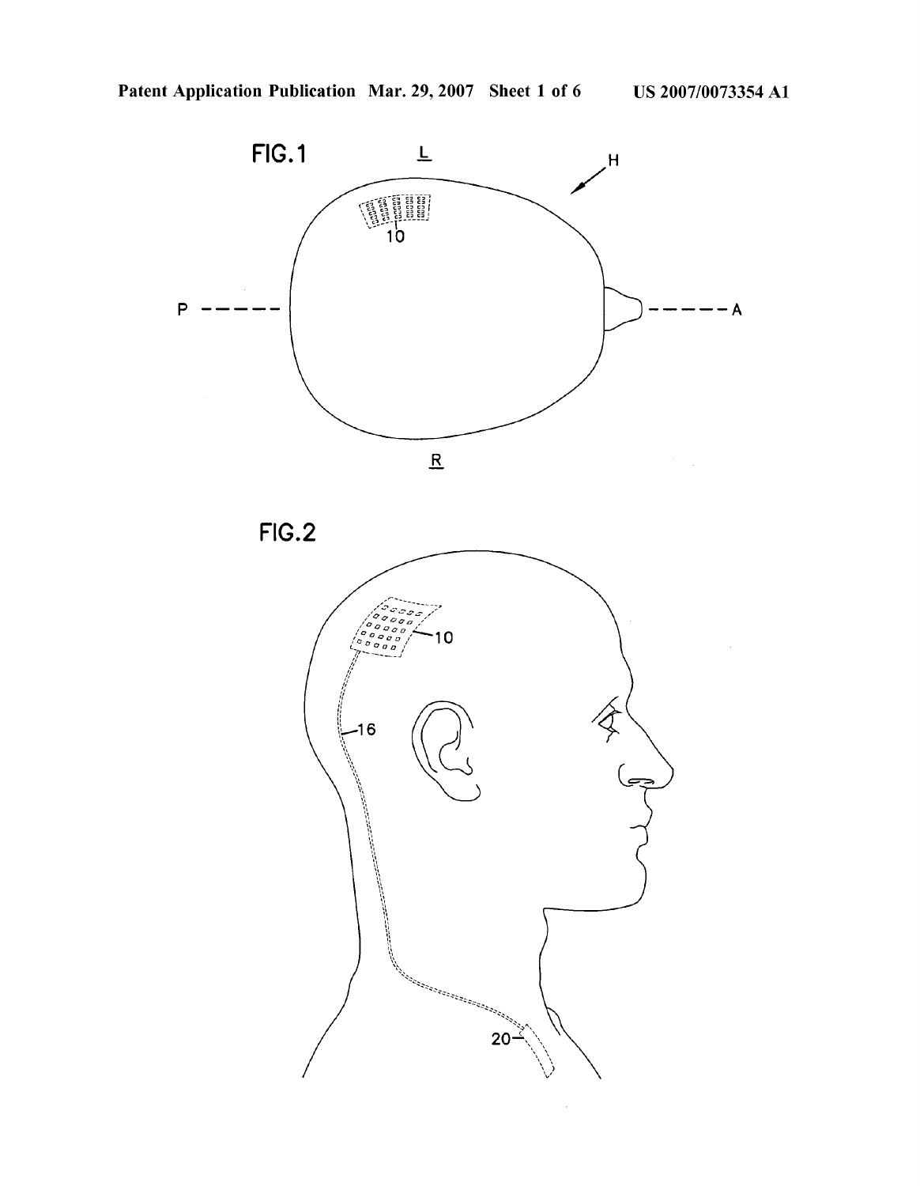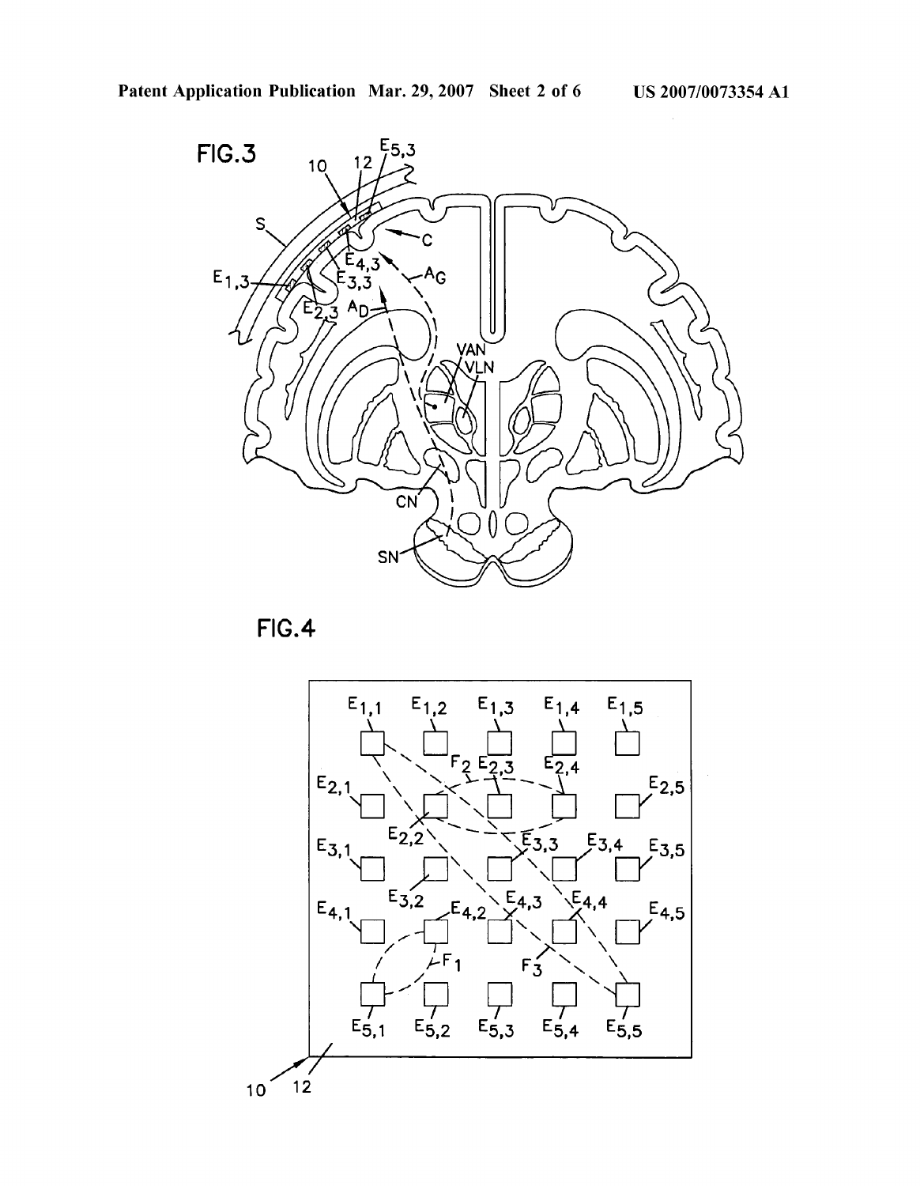

FIG.4

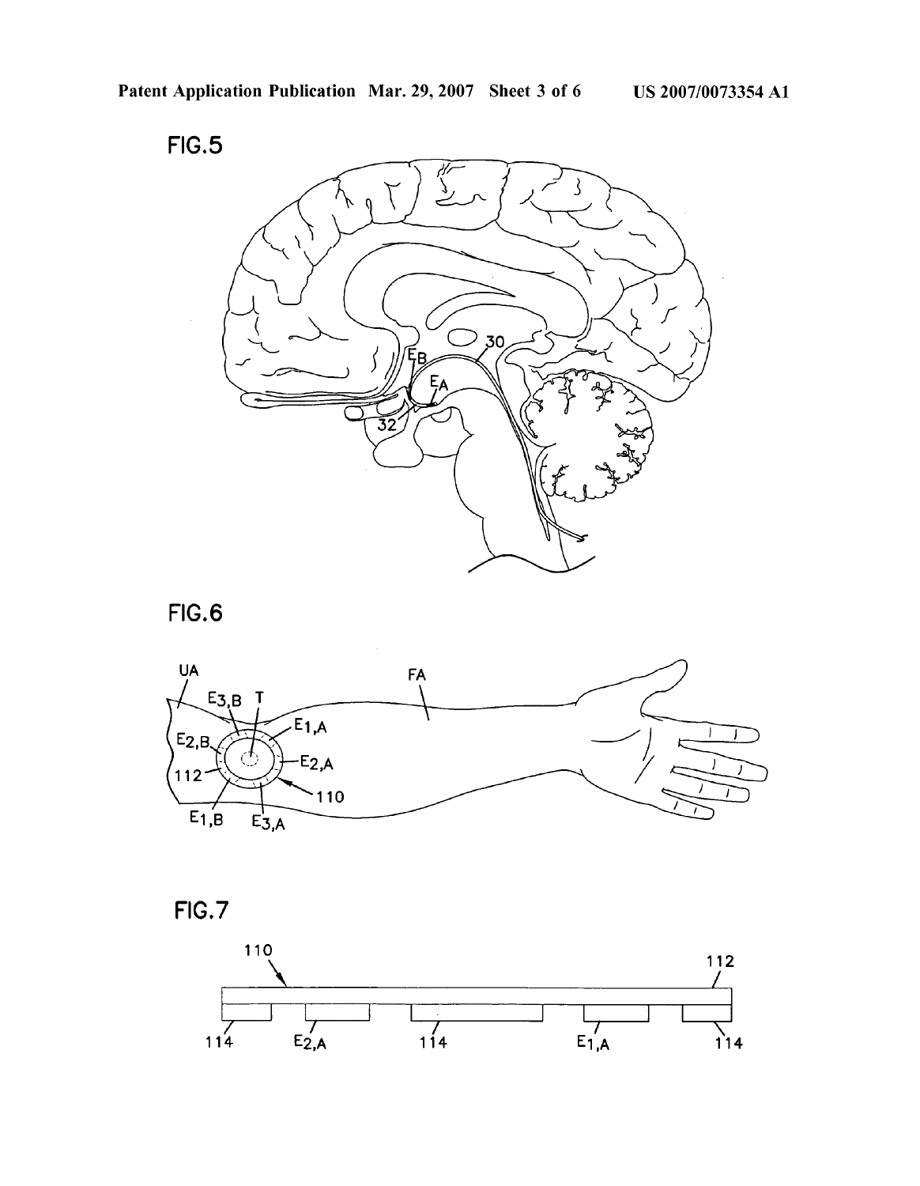







FIG.7

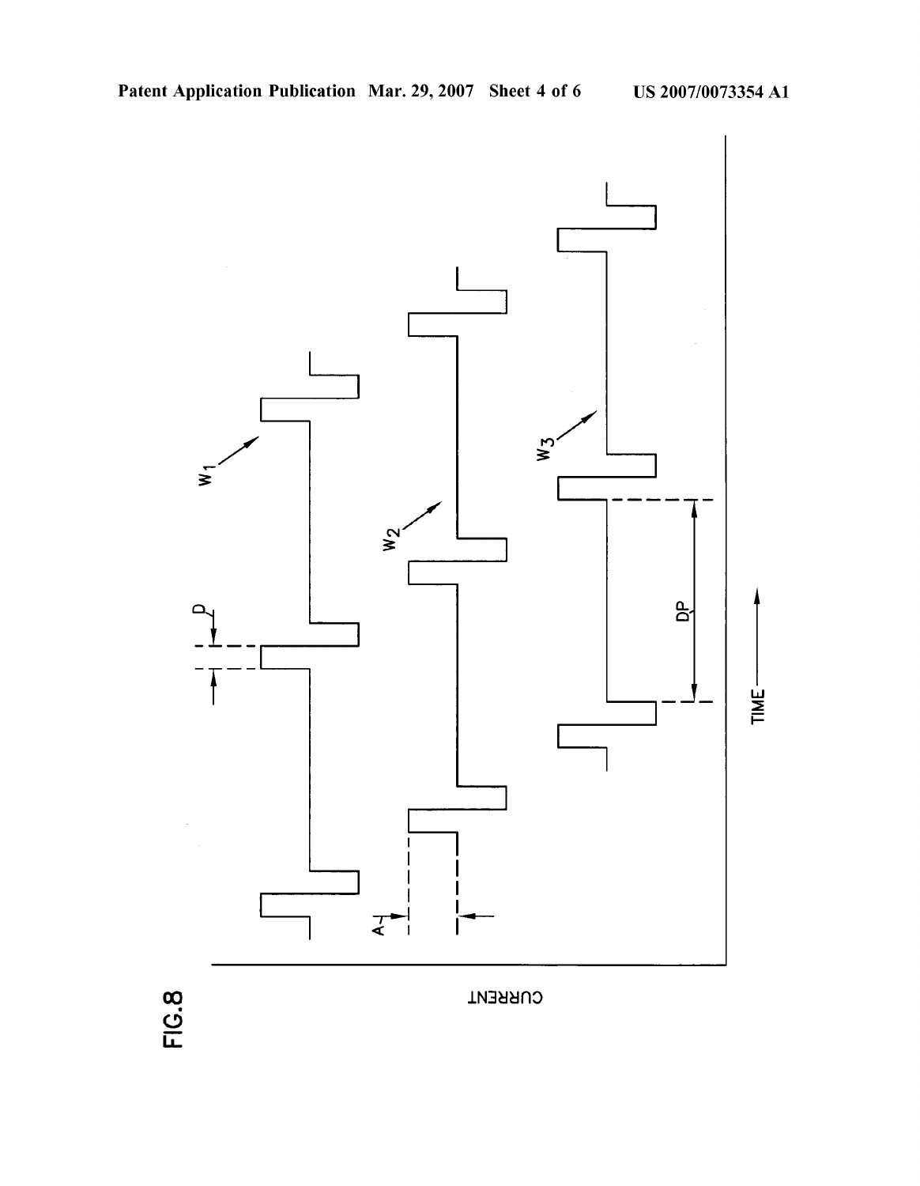

**FIG.8** 

**CURRENT**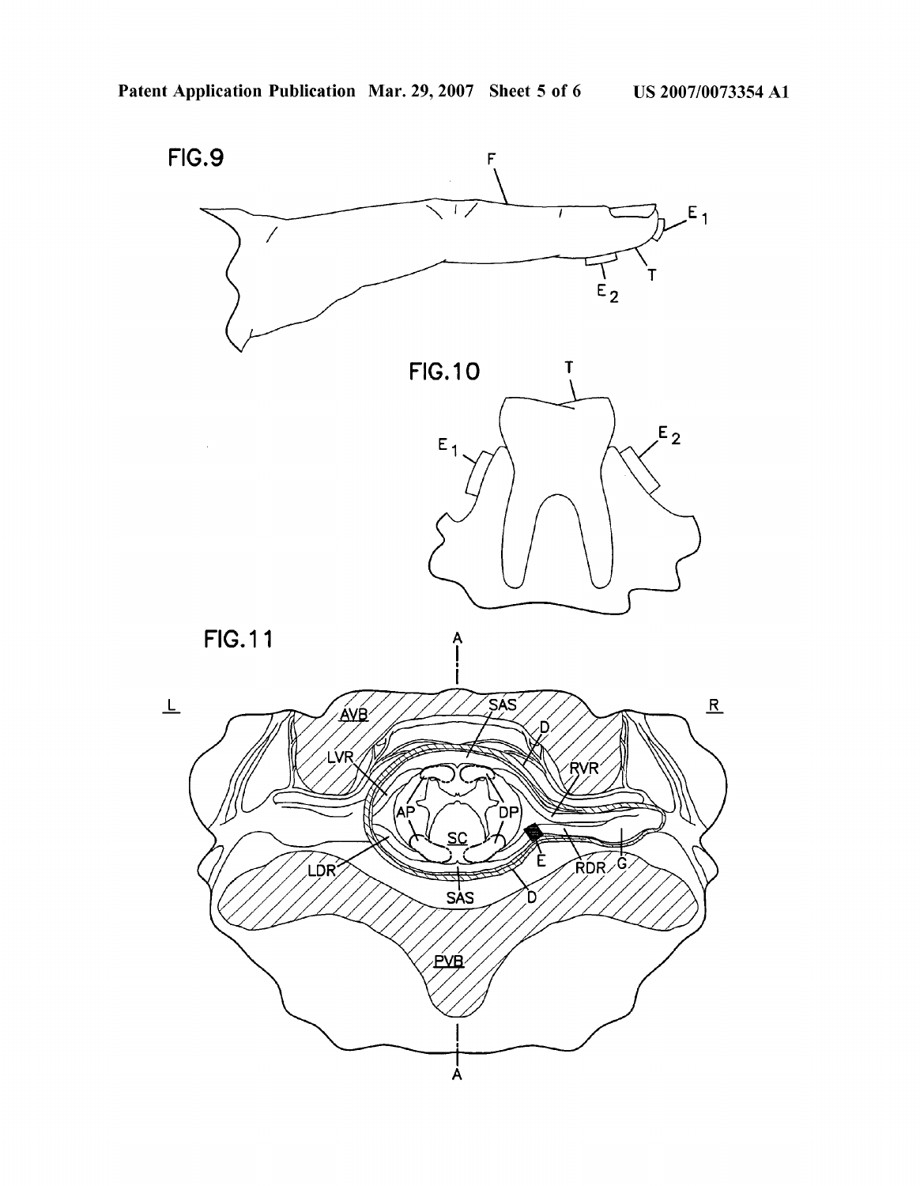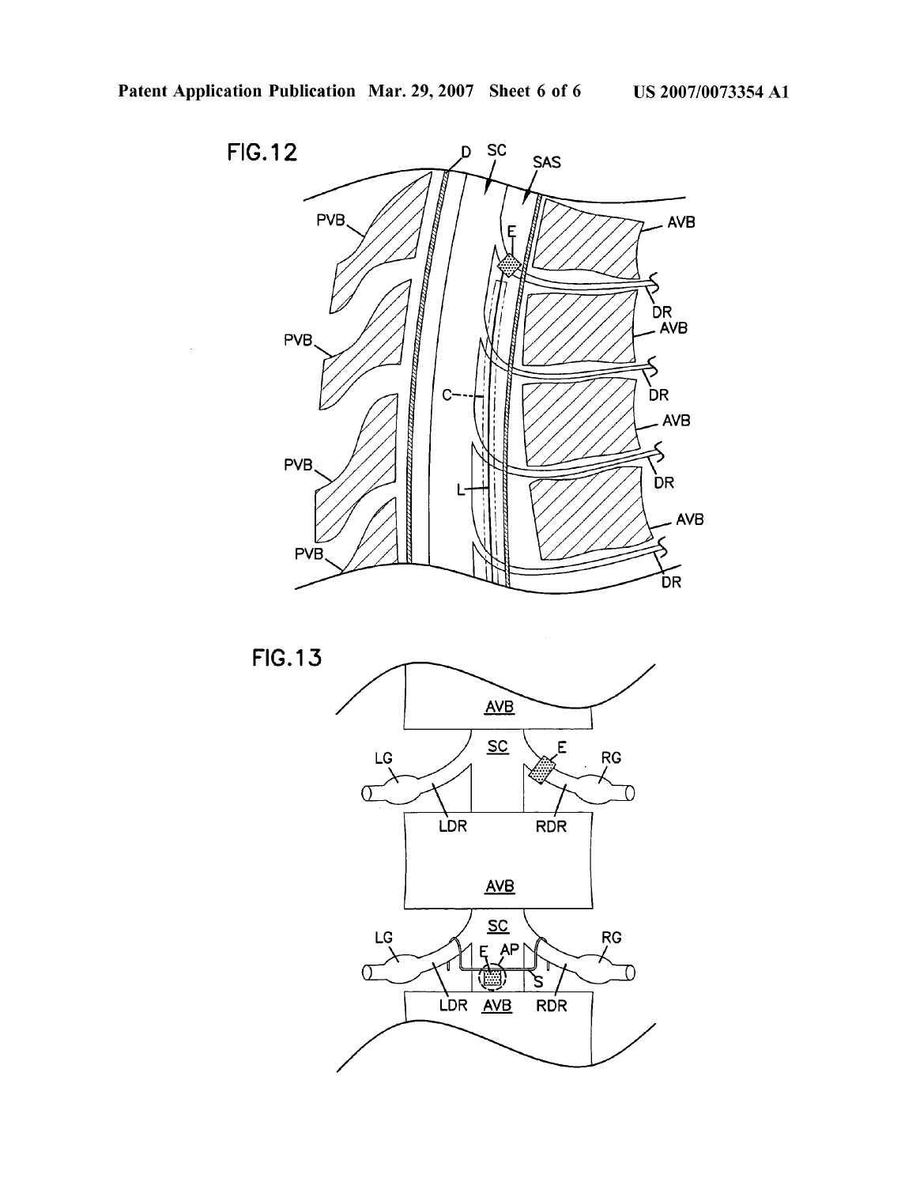

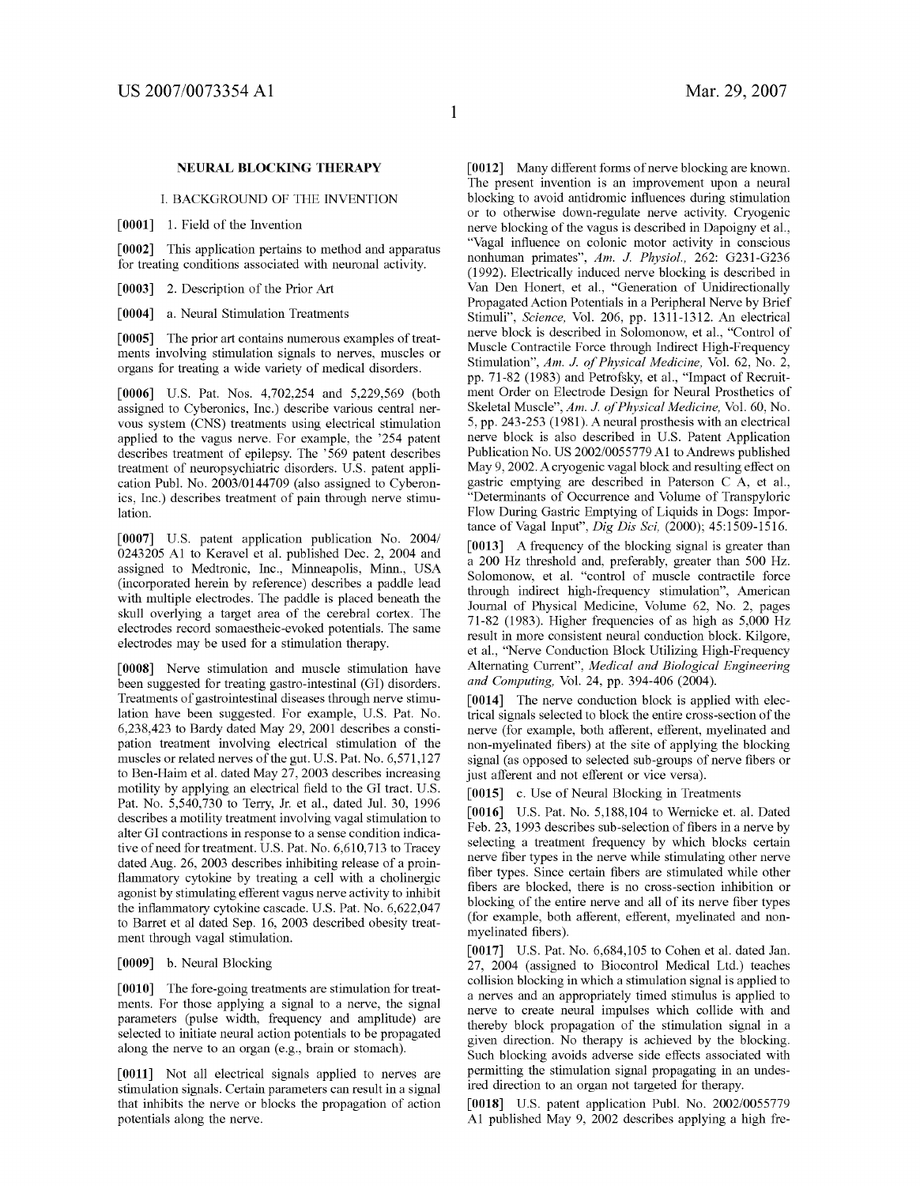#### NEURAL BLOCKING THERAPY

I. BACKGROUND OF THE INVENTION

[0001] 1. Field of the Invention

[0002] This application pertains to method and apparatus for treating conditions associated With neuronal activity.

[0003] 2. Description of the Prior Art

[0004] a. Neural Stimulation Treatments

[0005] The prior art contains numerous examples of treat ments involving stimulation signals to nerves, muscles or organs for treating a Wide variety of medical disorders.

[0006] US. Pat. Nos. 4,702,254 and 5,229,569 (both assigned to Cyberonics, Inc.) describe various central ner vous system (CNS) treatments using electrical stimulation applied to the vagus nerve. For example, the '254 patent describes treatment of epilepsy. The '569 patent describes treatment of neuropsychiatric disorders. U.S. patent application Publ. No. 2003/0144709 (also assigned to Cyberon ics, Inc.) describes treatment of pain through nerve stimu lation.

[0007] US. patent application publication No. 2004/ 0243205 A1 to Keravel et al. published Dec. 2, 2004 and assigned to Medtronic, Inc., Minneapolis, Minn., USA (incorporated herein by reference) describes a paddle lead with multiple electrodes. The paddle is placed beneath the skull overlying a target area of the cerebral cortex. The electrodes record somaestheic-evoked potentials. The same electrodes may be used for a stimulation therapy.

[0008] Nerve stimulation and muscle stimulation have been suggested for treating gastro-intestinal (GI) disorders. Treatments of gastrointestinal diseases through nerve stimu lation have been suggested. For example, U.S. Pat. No. 6,238,423 to Bardy dated May 29, 2001 describes a consti pation treatment involving electrical stimulation of the muscles or related nerves of the gut. U.S. Pat. No. 6,571,127 to Ben-Haim et al. dated May 27, 2003 describes increasing motility by applying an electrical field to the GI tract. U.S. Pat. No. 5,540,730 to Terry, Jr. et al., dated Jul. 30, 1996 describes a motility treatment involving vagal stimulation to alter GI contractions in response to a sense condition indica tive of need for treatment. US. Pat. No. 6,610,713 to Tracey dated Aug. 26, 2003 describes inhibiting release of a proin flammatory cytokine by treating a cell with a cholinergic agonist by stimulating efferent vagus nerve activity to inhibit the inflammatory cytokine cascade. U.S. Pat. No. 6,622,047 to Barret et al dated Sep. 16, 2003 described obesity treat ment through vagal stimulation.

#### [0009] b. Neural Blocking

[0010] The fore-going treatments are stimulation for treatments. For those applying a signal to a nerve, the signal parameters (pulse Width, frequency and amplitude) are selected to initiate neural action potentials to be propagated along the nerve to an organ (e.g., brain or stomach).

[0011] Not all electrical signals applied to nerves are stimulation signals. Certain parameters can result in a signal that inhibits the nerve or blocks the propagation of action potentials along the nerve.

[0012] Many different forms of nerve blocking are known. The present invention is an improvement upon a neural blocking to avoid antidromic influences during stimulation or to otherwise down-regulate nerve activity. Cryogenic nerve blocking of the vagus is described in Dapoigny et al., "Vagal influence on colonic motor activity in conscious nonhuman primates", Am. J. Physiol, 262: G231-G236 (1992). Electrically induced nerve blocking is described in Van Den Honert, et al., "Generation of Unidirectionally Propagated Action Potentials in a Peripheral Nerve by Brief Stimuli", Science, Vol. 206, pp. 1311-1312. An electrical nerve block is described in Solomonow, et al., "Control of Muscle Contractile Force through Indirect High-Frequency Stimulation", Am. J. of Physical Medicine, Vol. 62, No. 2, pp. 71-82 (1983) and Petrofsky, et al., "Impact of Recruit ment Order on Electrode Design for Neural Prosthetics of Skeletal Muscle", Am. J. of Physical Medicine, Vol. 60, No. 5, pp. 243-253 (1981). Aneural prosthesis With an electrical nerve block is also described in US. Patent Application Publication No. US 2002/0055779 A1 to Andrews published May 9, 2002. A cryogenic vagal block and resulting effect on gastric emptying are described in Paterson C A, et al., "Determinants of Occurrence and Volume of Transpyloric FloW During Gastric Emptying of Liquids in Dogs: Impor tance of Vagal Input", Dig Dis Sci, (2000); 45:1509-1516.

[0013] A frequency of the blocking signal is greater than a 200 HZ threshold and, preferably, greater than 500 HZ. SolomonoW, et al. "control of muscle contractile force through indirect high-frequency stimulation", American Journal of Physical Medicine, Volume 62, No. 2, pages 71-82 (1983). Higher frequencies of as high as 5,000 HZ result in more consistent neural conduction block. Kilgore, et al., "Nerve Conduction Block Utilizing High-Frequency Alternating Current", Medical and Biological Engineering and Computing, Vol. 24, pp. 394-406 (2004).

[0014] The nerve conduction block is applied with electrical signals selected to block the entire cross-section of the nerve (for example, both afferent, efferent, myelinated and non-myelinated fibers) at the site of applying the blocking signal (as opposed to selected sub-groups of nerve fibers or just afferent and not efferent or vice versa).

[0015] c. Use of Neural Blocking in Treatments

[0016] US. Pat. No. 5,188,104 to Wernicke et. al. Dated Feb. 23, 1993 describes sub-selection of fibers in a nerve by selecting a treatment frequency by Which blocks certain nerve fiber types in the nerve while stimulating other nerve fiber types. Since certain fibers are stimulated while other fibers are blocked, there is no cross-section inhibition or blocking of the entire nerve and all of its nerve fiber types (for example, both afferent, efferent, myelinated and nonmyelinated fibers).

[0017] US. Pat. No. 6,684,105 to Cohen et al. dated Jan. 27, 2004 (assigned to Biocontrol Medical Ltd.) teaches collision blocking in Which a stimulation signal is applied to a nerves and an appropriately timed stimulus is applied to nerve to create neural impulses Which collide With and thereby block propagation of the stimulation signal in a given direction. No therapy is achieved by the blocking. Such blocking avoids adverse side effects associated With permitting the stimulation signal propagating in an undes ired direction to an organ not targeted for therapy.

[0018] U.S. patent application Publ. No. 2002/0055779 A1 published May 9, 2002 describes applying a high fre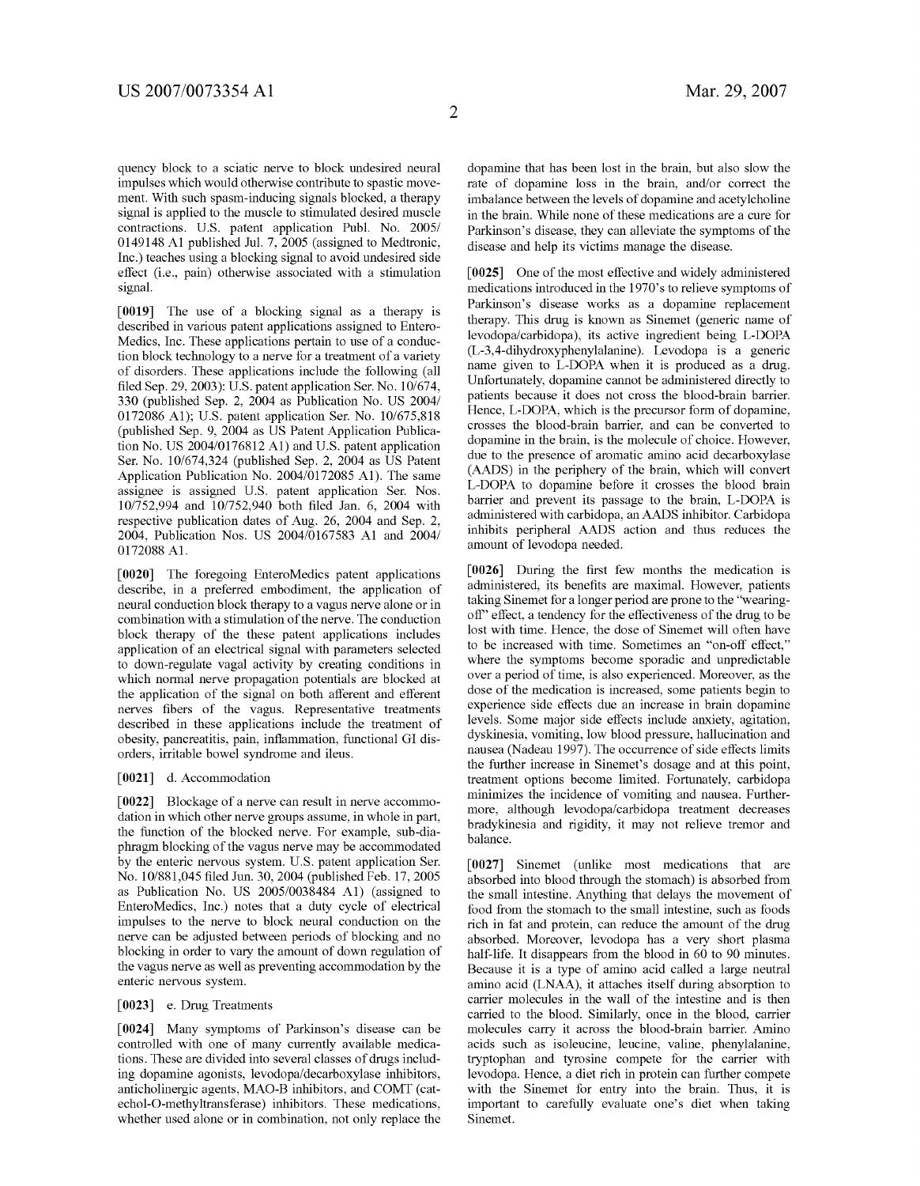quency block to a sciatic nerve to block undesired neural impulses Which Would otherwise contribute to spastic move ment. With such spasm-inducing signals blocked, a therapy signal is applied to the muscle to stimulated desired muscle contractions. US. patent application Publ. No. 2005/ 0149148 A1 published Jul. 7, 2005 (assigned to Medtronic, Inc.) teaches using a blocking signal to avoid undesired side effect (i.e., pain) otherWise associated With a stimulation signal.

[0019] The use of a blocking signal as a therapy is described in various patent applications assigned to Entero Medics, Inc. These applications pertain to use of a conduc tion block technology to a nerve for a treatment of a variety of disorders. These applications include the folloWing (all filed Sep. 29, 2003): U.S. patent application Ser. No.  $10/674$ , 330 (published Sep. 2, 2004 as Publication No. US 2004/ 0172086 A1); US. patent application Ser. No. 10/675,818 (published Sep. 9, 2004 as US Patent Application Publica tion No. US 2004/0176812 A1) and U.S. patent application Ser. No. 10/674,324 (published Sep. 2, 2004 as US Patent Application Publication No. 2004/0172085 A1). The same assignee is assigned US. patent application Ser. Nos. 10/752,994 and 10/752,940 both filed Jan. 6, 2004 with respective publication dates of Aug. 26, 2004 and Sep. 2, 2004, Publication Nos. US 2004/0167583 A1 and 2004/ 0172088 A1.

[0020] The foregoing EnteroMedics patent applications describe, in a preferred embodiment, the application of neural conduction block therapy to a vagus nerve alone or in combination With a stimulation of the nerve. The conduction block therapy of the these patent applications includes application of an electrical signal With parameters selected to doWn-regulate vagal activity by creating conditions in Which normal nerve propagation potentials are blocked at the application of the signal on both afferent and efferent nerves fibers of the vagus. Representative treatments described in these applications include the treatment of obesity, pancreatitis, pain, inflammation, functional GI disorders, irritable boWel syndrome and ileus.

#### [0021] d. Accommodation

[0022] Blockage of a nerve can result in nerve accommo dation in Which other nerve groups assume, in Whole in part, the function of the blocked nerve. For example, sub-dia phragm blocking of the vagus nerve may be accommodated by the enteric nervous system. US. patent application Ser. No. 10/881,045 filed Jun. 30, 2004 (published Feb. 17, 2005) as Publication No. US 2005/0038484 A1) (assigned to EnteroMedics, Inc.) notes that a duty cycle of electrical impulses to the nerve to block neural conduction on the nerve can be adjusted betWeen periods of blocking and no blocking in order to vary the amount of down regulation of the vagus nerve as Well as preventing accommodation by the enteric nervous system.

#### [0023] e. Drug Treatments

[0024] Many symptoms of Parkinson's disease can be controlled With one of many currently available medica tions. These are divided into several classes of drugs includ ing dopamine agonists, levodopa/decarboxylase inhibitors, anticholinergic agents, MAO-B inhibitors, and COMT (cat echol-O-methyltransferase) inhibitors. These medications, Whether used alone or in combination, not only replace the dopamine that has been lost in the brain, but also slow the rate of dopamine loss in the brain, and/or correct the imbalance between the levels of dopamine and acetylcholine in the brain. While none of these medications are a cure for Parkinson's disease, they can alleviate the symptoms of the disease and help its victims manage the disease.

[0025] One of the most effective and widely administered medications introduced in the 1970's to relieve symptoms of Parkinson's disease Works as a dopamine replacement therapy. This drug is known as Sinemet (generic name of levodopa/carbidopa), its active ingredient being L-DOPA name given to L-DOPA when it is produced as a drug. Unfortunately, dopamine cannot be administered directly to patients because it does not cross the blood-brain barrier. Hence, L-DOPA, Which is the precursor form of dopamine, crosses the blood-brain barrier, and can be converted to dopamine in the brain, is the molecule of choice. HoWever, due to the presence of aromatic amino acid decarboxylase (AADS) in the periphery of the brain, Which Will convert L-DOPA to dopamine before it crosses the blood brain barrier and prevent its passage to the brain, L-DOPA is administered With carbidopa, an AADS inhibitor. Carbidopa inhibits peripheral AADS action and thus reduces the amount of levodopa needed.

 $[0026]$  During the first few months the medication is administered, its benefits are maximal. However, patients taking Sinemet for a longer period are prone to the "wearingoff" effect, a tendency for the effectiveness of the drug to be lost With time. Hence, the dose of Sinemet Will often have to be increased With time. Sometimes an "on-off effect," Where the symptoms become sporadic and unpredictable over a period of time, is also experienced. Moreover, as the dose of the medication is increased, some patients begin to experience side effects due an increase in brain dopamine levels. Some major side effects include anxiety, agitation, dyskinesia, vomiting, loW blood pressure, hallucination and nausea (Nadeau 1997). The occurrence of side effects limits the further increase in Sinemet's dosage and at this point, treatment options become limited. Fortunately, carbidopa minimizes the incidence of vomiting and nausea. Furthermore, although levodopa/carbidopa treatment decreases bradykinesia and rigidity, it may not relieve tremor and balance.

[0027] Sinemet (unlike most medications that are absorbed into blood through the stomach) is absorbed from the small intestine. Anything that delays the movement of food from the stomach to the small intestine, such as foods rich in fat and protein, can reduce the amount of the drug absorbed. Moreover, levodopa has a very short plasma half-life. It disappears from the blood in 60 to 90 minutes. Because it is a type of amino acid called a large neutral amino acid (LNAA), it attaches itself during absorption to carrier molecules in the Wall of the intestine and is then carried to the blood. Similarly, once in the blood, carrier molecules carry it across the blood-brain barrier. Amino acids such as isoleucine, leucine, valine, phenylalanine, tryptophan and tyrosine compete for the carrier With levodopa. Hence, a diet rich in protein can further compete with the Sinemet for entry into the brain. Thus, it is important to carefully evaluate one's diet When taking Sinemet.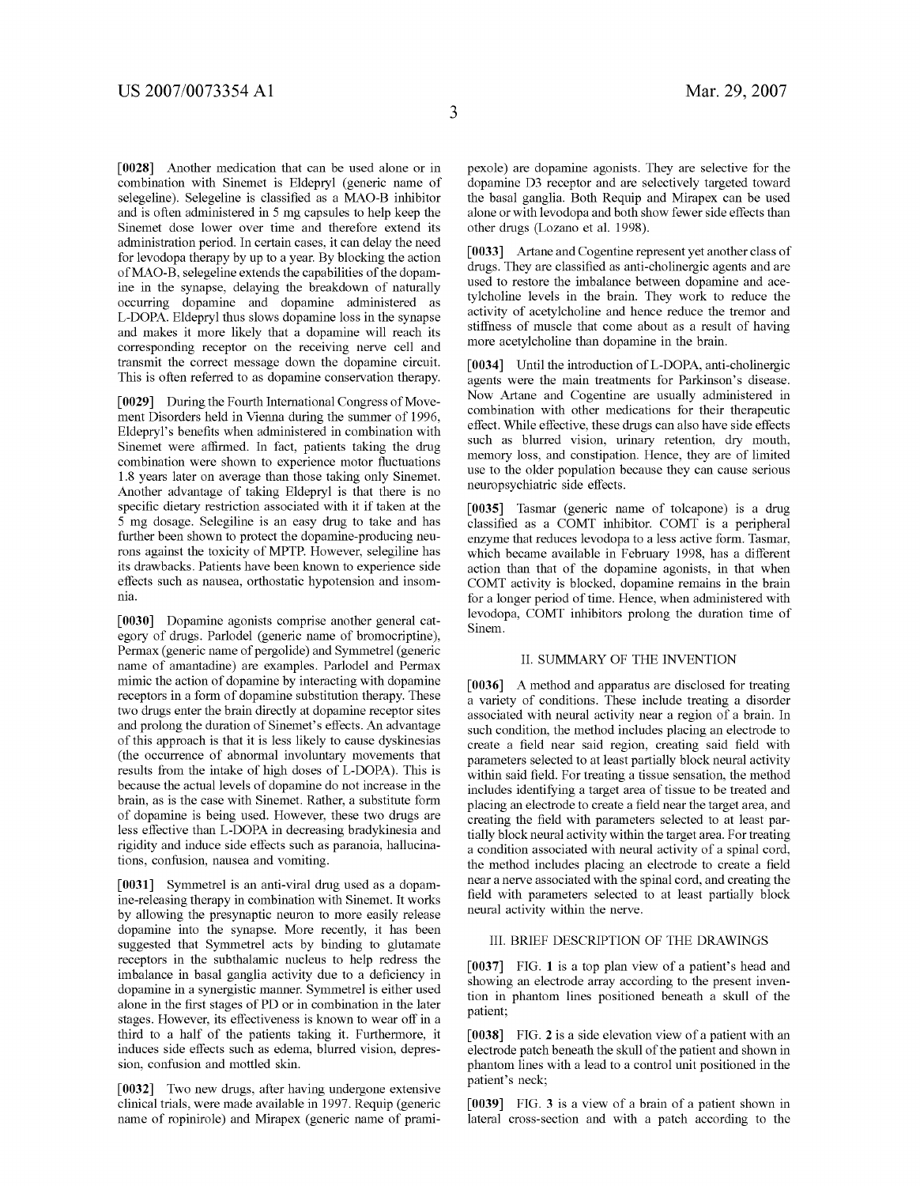[0028] Another medication that can be used alone or in combination With Sinemet is Eldepryl (generic name of selegeline). Selegeline is classified as a MAO-B inhibitor and is often administered in 5 mg capsules to help keep the Sinemet dose loWer over time and therefore extend its administration period. In certain cases, it can delay the need for levodopa therapy by up to a year. By blocking the action of MAO-B, selegeline extends the capabilities of the dopam ine in the synapse, delaying the breakdown of naturally occurring dopamine and dopamine administered as L-DOPA. Eldepryl thus sloWs dopamine loss in the synapse and makes it more likely that a dopamine Will reach its corresponding receptor on the receiving nerve cell and transmit the correct message doWn the dopamine circuit. This is often referred to as dopamine conservation therapy.

[0029] During the Fourth International Congress of Move ment Disorders held in Vienna during the summer of 1996, Eldepryl's benefits when administered in combination with Sinemet were affirmed. In fact, patients taking the drug combination were shown to experience motor fluctuations 1.8 years later on average than those taking only Sinemet. Another advantage of taking Eldepryl is that there is no specific dietary restriction associated with it if taken at the 5 mg dosage. Selegiline is an easy drug to take and has further been shown to protect the dopamine-producing neurons against the toxicity of MPTP. HoWever, selegiline has its drawbacks. Patients have been known to experience side effects such as nausea, orthostatic hypotension and insom nia.

[0030] Dopamine agonists comprise another general cat egory of drugs. Parlodel (generic name of bromocriptine), Permax (generic name of pergolide) and Symmetrel (generic name of amantadine) are examples. Parlodel and Permax mimic the action of dopamine by interacting With dopamine receptors in a form of dopamine substitution therapy. These two drugs enter the brain directly at dopamine receptor sites and prolong the duration of Sinemet's effects. An advantage of this approach is that it is less likely to cause dyskinesias (the occurrence of abnormal involuntary movements that results from the intake of high doses of L-DOPA). This is because the actual levels of dopamine do not increase in the brain, as is the case With Sinemet. Rather, a substitute form of dopamine is being used. However, these two drugs are less effective than L-DOPA in decreasing bradykinesia and rigidity and induce side effects such as paranoia, hallucina tions, confusion, nausea and vomiting.

[0031] Symmetrel is an anti-viral drug used as a dopamine-releasing therapy in combination With Sinemet. It Works by alloWing the presynaptic neuron to more easily release dopamine into the synapse. More recently, it has been suggested that Symmetrel acts by binding to glutamate receptors in the subthalamic nucleus to help redress the imbalance in basal ganglia activity due to a deficiency in dopamine in a synergistic manner. Symmetrel is either used alone in the first stages of PD or in combination in the later stages. However, its effectiveness is known to wear off in a third to a half of the patients taking it. Furthermore, it induces side effects such as edema, blurred vision, depres sion, confusion and mottled skin.

[0032] Two new drugs, after having undergone extensive clinical trials, Were made available in 1997. Requip (generic name of ropinirole) and Mirapex (generic name of prami pexole) are dopamine agonists. They are selective for the dopamine D3 receptor and are selectively targeted toward the basal ganglia. Both Requip and Mirapex can be used alone or with levodopa and both show fewer side effects than other drugs (LoZano et al. 1998).

[0033] Artane and Cogentine represent yet another class of drugs. They are classified as anti-cholinergic agents and are used to restore the imbalance between dopamine and acetylcholine levels in the brain. They Work to reduce the activity of acetylcholine and hence reduce the tremor and stiffness of muscle that come about as a result of having more acetylcholine than dopamine in the brain.

[0034] Until the introduction of L-DOPA, anti-cholinergic agents Were the main treatments for Parkinson's disease. NoW Artane and Cogentine are usually administered in combination With other medications for their therapeutic effect. While effective, these drugs can also have side effects such as blurred vision, urinary retention, dry mouth, memory loss, and constipation. Hence, they are of limited use to the older population because they can cause serious neuropsychiatric side effects.

[0035] Tasmar (generic name of tolcapone) is a drug classified as a COMT inhibitor. COMT is a peripheral enZyme that reduces levodopa to a less active form. Tasmar, Which became available in February 1998, has a different action than that of the dopamine agonists, in that When COMT activity is blocked, dopamine remains in the brain for a longer period of time. Hence, When administered With levodopa, COMT inhibitors prolong the duration time of Sinem.

#### II. SUMMARY OF THE INVENTION

[0036] A method and apparatus are disclosed for treating a variety of conditions. These include treating a disorder associated With neural activity near a region of a brain. In such condition, the method includes placing an electrode to create a field near said region, creating said field with parameters selected to at least partially block neural activity within said field. For treating a tissue sensation, the method includes identifying a target area of tissue to be treated and placing an electrode to create a field near the target area, and creating the field with parameters selected to at least partially block neural activity Within the target area. For treating a condition associated With neural activity of a spinal cord, the method includes placing an electrode to create a field near a nerve associated With the spinal cord, and creating the field with parameters selected to at least partially block neural activity Within the nerve.

#### III. BRIEF DESCRIPTION OF THE DRAWINGS

[0037] FIG. 1 is a top plan view of a patient's head and showing an electrode array according to the present invention in phantom lines positioned beneath a skull of the patient;

[0038] FIG. 2 is a side elevation view of a patient with an electrode patch beneath the skull of the patient and shoWn in phantom lines With a lead to a control unit positioned in the patient's neck;

[0039] FIG. 3 is a view of a brain of a patient shown in lateral cross-section and With a patch according to the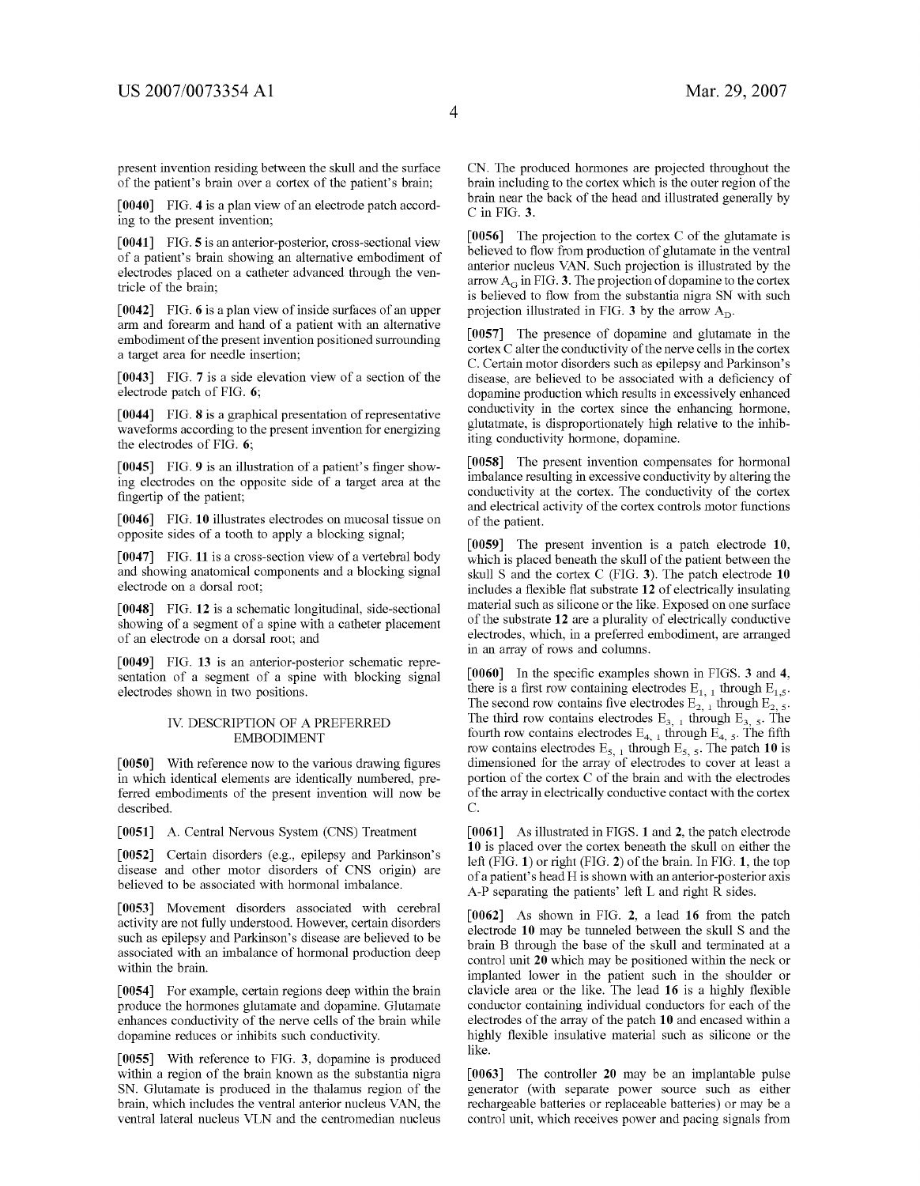present invention residing between the skull and the surface of the patient's brain over a cortex of the patient's brain;

[0040] FIG. 4 is a plan view of an electrode patch according to the present invention;

[0041] FIG. 5 is an anterior-posterior, cross-sectional view of a patient's brain showing an alternative embodiment of electrodes placed on a catheter advanced through the ven tricle of the brain;

[0042] FIG. 6 is a plan view of inside surfaces of an upper arm and forearm and hand of a patient With an alternative embodiment of the present invention positioned surrounding a target area for needle insertion;

[0043] FIG. 7 is a side elevation view of a section of the electrode patch of FIG. 6;

[0044] FIG. 8 is a graphical presentation of representative waveforms according to the present invention for energizing the electrodes of FIG. 6;

[0045] FIG. 9 is an illustration of a patient's finger showing electrodes on the opposite side of a target area at the fingertip of the patient;

[0046] FIG. 10 illustrates electrodes on mucosal tissue on opposite sides of a tooth to apply a blocking signal;

[0047] FIG. 11 is a cross-section view of a vertebral body and showing anatomical components and a blocking signal electrode on a dorsal root;

[0048] FIG. 12 is a schematic longitudinal, side-sectional shoWing of a segment of a spine With a catheter placement of an electrode on a dorsal root; and

[0049] FIG. 13 is an anterior-posterior schematic representation of a segment of a spine With blocking signal electrodes shoWn in tWo positions.

#### IV. DESCRIPTION OF A PREFERRED EMBODIMENT

 $[0050]$  With reference now to the various drawing figures in Which identical elements are identically numbered, pre ferred embodiments of the present invention will now be described.

[0051] A. Central Nervous System (CNS) Treatment

[0052] Certain disorders (e.g., epilepsy and Parkinson's disease and other motor disorders of CNS origin) are believed to be associated With hormonal imbalance.

[0053] Movement disorders associated With cerebral activity are not fully understood. HoWever, certain disorders such as epilepsy and Parkinson's disease are believed to be associated With an imbalance of hormonal production deep Within the brain.

[0054] For example, certain regions deep Within the brain produce the hormones glutamate and dopamine. Glutamate enhances conductivity of the nerve cells of the brain While dopamine reduces or inhibits such conductivity.

[0055] With reference to FIG. 3, dopamine is produced within a region of the brain known as the substantia nigra SN. Glutamate is produced in the thalamus region of the brain, Which includes the ventral anterior nucleus VAN, the ventral lateral nucleus VLN and the centromedian nucleus

CN. The produced hormones are projected throughout the brain including to the cortex Which is the outer region of the brain near the back of the head and illustrated generally by C in FIG. 3.

[0056] The projection to the cortex C of the glutamate is believed to flow from production of glutamate in the ventral anterior nucleus VAN. Such projection is illustrated by the arrow  $A_G$  in FIG. 3. The projection of dopamine to the cortex is believed to flow from the substantia nigra SN with such projection illustrated in FIG. 3 by the arrow  $A_D$ .

[0057] The presence of dopamine and glutamate in the cortex C alter the conductivity of the nerve cells in the cortex C. Certain motor disorders such as epilepsy and Parkinson's disease, are believed to be associated with a deficiency of dopamine production Which results in excessively enhanced conductivity in the cortex since the enhancing hormone, glutatmate, is disproportionately high relative to the inhib iting conductivity hormone, dopamine.

[0058] The present invention compensates for hormonal imbalance resulting in excessive conductivity by altering the conductivity at the cortex. The conductivity of the cortex and electrical activity of the cortex controls motor functions of the patient.

[0059] The present invention is a patch electrode 10, which is placed beneath the skull of the patient between the skull S and the cortex C (FIG. 3). The patch electrode 10 includes a flexible flat substrate 12 of electrically insulating material such as silicone or the like. Exposed on one surface of the substrate 12 are a plurality of electrically conductive electrodes, Which, in a preferred embodiment, are arranged in an array of roWs and columns.

 $[0060]$  In the specific examples shown in FIGS. 3 and 4, there is a first row containing electrodes  $E_{1, 1}$  through  $E_{1, 5}$ . The second row contains five electrodes  $E_{2, 1}$  through  $E_{2, 5}$ . The third row contains electrodes  $E_{3, 1}$  through  $E_{3, 5}$ . The fourth row contains electrodes  $E_{4, 1}$  through  $E_{4, 5}$ . The fifth row contains electrodes  $E_{5, 1}$  through  $E_{5, 5}$ . The patch 10 is dimensioned for the array of electrodes to cover at least a portion of the cortex C of the brain and With the electrodes of the array in electrically conductive contact With the cortex C.

[0061] As illustrated in FIGS. 1 and 2, the patch electrode 10 is placed over the cortex beneath the skull on either the left (FIG. 1) or right (FIG. 2) of the brain. In FIG. 1, the top of a patient' s head H is shoWn With an anterior-posterior axis A-P separating the patients' left L and right R sides.

[0062] As shoWn in FIG. 2, a lead 16 from the patch electrode 10 may be tunneled between the skull S and the brain B through the base of the skull and terminated at a control unit 20 Which may be positioned Within the neck or implanted loWer in the patient such in the shoulder or clavicle area or the like. The lead  $16$  is a highly flexible conductor containing individual conductors for each of the electrodes of the array of the patch 10 and encased Within a highly flexible insulative material such as silicone or the like.

[0063] The controller 20 may be an implantable pulse generator (With separate poWer source such as either rechargeable batteries or replaceable batteries) or may be a control unit, which receives power and pacing signals from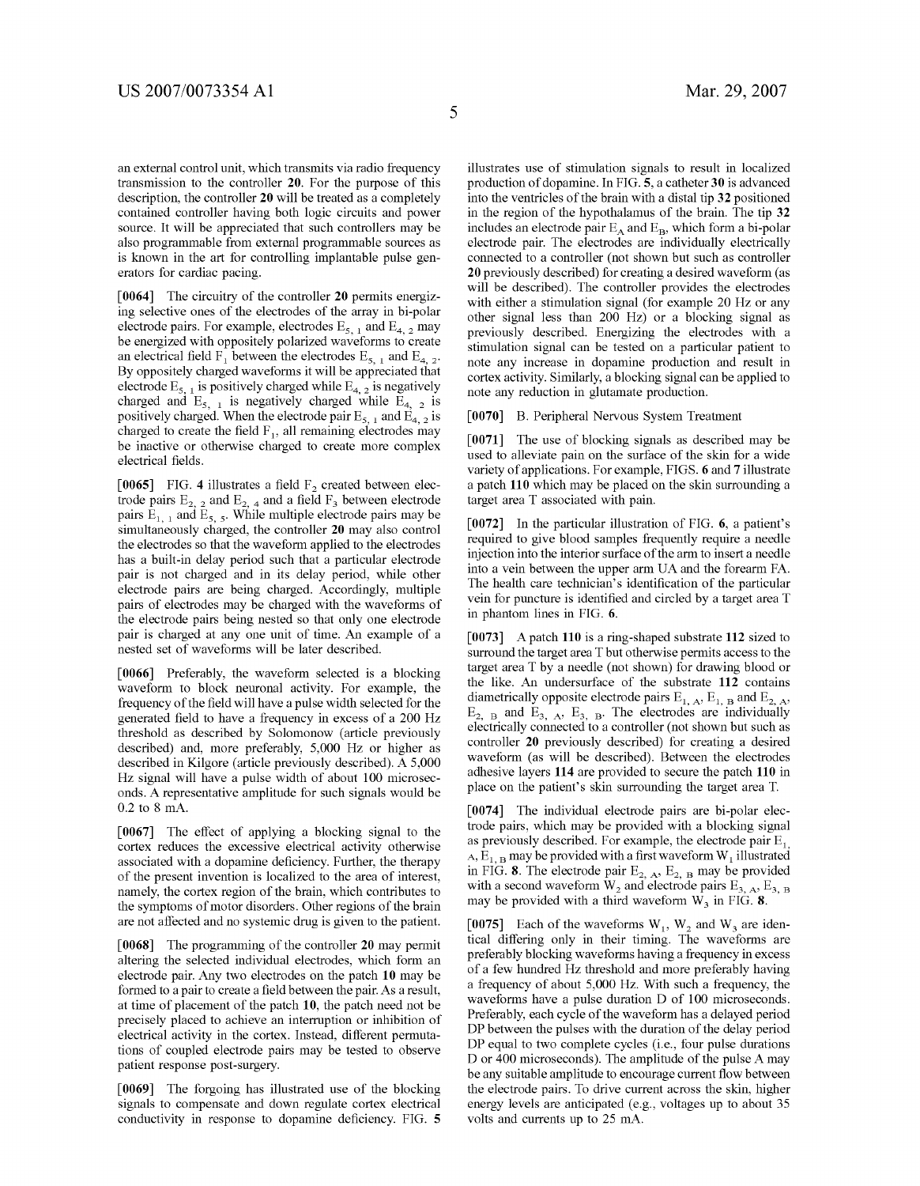an external control unit, Which transmits via radio frequency transmission to the controller 20. For the purpose of this description, the controller 20 Will be treated as a completely contained controller having both logic circuits and power source. It Will be appreciated that such controllers may be also programmable from external programmable sources as is known in the art for controlling implantable pulse generators for cardiac pacing.

 $\lceil 0064 \rceil$  The circuitry of the controller 20 permits energizing selective ones of the electrodes of the array in bi-polar electrode pairs. For example, electrodes  $E_{5, 1}$  and  $E_{4, 2}$  may be energized with oppositely polarized waveforms to create an electrical field  $\overline{F}_1$  between the electrodes  $E_{5, 1}$  and  $E_{4, 2}$ . By oppositely charged Waveforms it Will be appreciated that electrode  $E_{5,1}$  is positively charged while  $E_{4,2}$  is negatively charged and  $E_{5,-1}$  is negatively charged while  $E_{4,-2}$  is positively charged. When the electrode pair  $E_{5, 1}$  and  $E_{4, 2}$  is charged to create the field  $F_1$ , all remaining electrodes may be inactive or otherwise charged to create more complex electrical fields.

[0065] FIG. 4 illustrates a field  $F_2$  created between electrode pairs  $E_{2, 2}$  and  $E_{2, 4}$  and a field  $F_3$  between electrode pairs  $E_{1, 1}$  and  $E_{5, 5}$ . While multiple electrode pairs may be simultaneously charged, the controller 20 may also control the electrodes so that the Waveform applied to the electrodes has a built-in delay period such that a particular electrode pair is not charged and in its delay period, While other electrode pairs are being charged. Accordingly, multiple pairs of electrodes may be charged With the Waveforms of the electrode pairs being nested so that only one electrode pair is charged at any one unit of time. An example of a nested set of Waveforms Will be later described.

[0066] Preferably, the Waveform selected is a blocking Waveform to block neuronal activity. For example, the frequency of the field will have a pulse width selected for the generated field to have a frequency in excess of a 200 Hz threshold as described by Solomonow (article previously described) and, more preferably, 5,000 Hz or higher as described in Kilgore (article previously described). A 5,000 HZ signal Will have a pulse Width of about 100 microsec onds. A representative amplitude for such signals Would be 0.2 to 8 mA.

[0067] The effect of applying a blocking signal to the cortex reduces the excessive electrical activity otherwise associated with a dopamine deficiency. Further, the therapy of the present invention is localized to the area of interest, namely, the cortex region of the brain, Which contributes to the symptoms of motor disorders. Other regions of the brain are not affected and no systemic drug is given to the patient.

[0068] The programming of the controller 20 may permit altering the selected individual electrodes, Which form an electrode pair. Any tWo electrodes on the patch 10 may be formed to a pair to create a field between the pair. As a result, at time of placement of the patch 10, the patch need not be precisely placed to achieve an interruption or inhibition of electrical activity in the cortex. Instead, different permuta tions of coupled electrode pairs may be tested to observe patient response post-surgery.

[0069] The forgoing has illustrated use of the blocking signals to compensate and doWn regulate cortex electrical conductivity in response to dopamine deficiency. FIG. 5 illustrates use of stimulation signals to result in localized production of dopamine. In FIG. 5, a catheter 30 is advanced into the ventricles of the brain With a distal tip 32 positioned in the region of the hypothalamus of the brain. The tip 32 includes an electrode pair  $E_A$  and  $E_B$ , which form a bi-polar electrode pair. The electrodes are individually electrically connected to a controller (not shoWn but such as controller 20 previously described) for creating a desired Waveform (as will be described). The controller provides the electrodes with either a stimulation signal (for example 20 Hz or any other signal less than 200 HZ) or a blocking signal as previously described. Energizing the electrodes With a stimulation signal can be tested on a particular patient to note any increase in dopamine production and result in cortex activity. Similarly, a blocking signal can be applied to note any reduction in glutamate production.

#### [0070] B. Peripheral Nervous System Treatment

[0071] The use of blocking signals as described may be used to alleviate pain on the surface of the skin for a Wide variety of applications. For example, FIGS. 6 and 7 illustrate a patch 110 Which may be placed on the skin surrounding a target area T associated With pain.

[0072] In the particular illustration of FIG. 6, a patient's required to give blood samples frequently require a needle injection into the interior surface of the arm to insert a needle into a vein between the upper arm UA and the forearm FA. The health care technician's identification of the particular vein for puncture is identified and circled by a target area T in phantom lines in FIG. 6.

[0073] A patch 110 is a ring-shaped substrate 112 sized to surround the target area T but otherwise permits access to the target area T by a needle (not shoWn) for draWing blood or the like. An undersurface of the substrate 112 contains diametrically opposite electrode pairs  $E_{1, A}$ ,  $E_{1, B}$  and  $E_{2, A}$ ,  $E_{2, B}$  and  $E_{3, A}$ ,  $E_{3, B}$ . The electrodes are individually electrically connected to a controller (not shoWn but such as controller 20 previously described) for creating a desired waveform (as will be described). Between the electrodes adhesive layers 114 are provided to secure the patch 110 in place on the patient's skin surrounding the target area T.

[0074] The individual electrode pairs are bi-polar elec trode pairs, Which may be provided With a blocking signal as previously described. For example, the electrode pair  $E_1$ , A,  $E_{1, B}$  may be provided with a first waveform W<sub>1</sub> illustrated in FIG. 8. The electrode pair  $E_{2, A}$ ,  $E_{2, B}$  may be provided with a second waveform  $W_2$  and electrode pairs  $E_{3, A}$ ,  $E_{3, B}$ may be provided with a third waveform  $W_3$  in FIG. 8.

[0075] Each of the waveforms  $W_1$ ,  $W_2$  and  $W_3$  are identical differing only in their timing. The Waveforms are preferably blocking Waveforms having a frequency in excess of a feW hundred HZ threshold and more preferably having a frequency of about 5,000 HZ. With such a frequency, the waveforms have a pulse duration D of 100 microseconds. Preferably, each cycle of the Waveform has a delayed period DP between the pulses with the duration of the delay period DP equal to tWo complete cycles (i.e., four pulse durations D or 400 microseconds). The amplitude of the pulse A may be any suitable amplitude to encourage current flow between the electrode pairs. To drive current across the skin, higher energy levels are anticipated (e.g., voltages up to about 35 volts and currents up to 25 mA.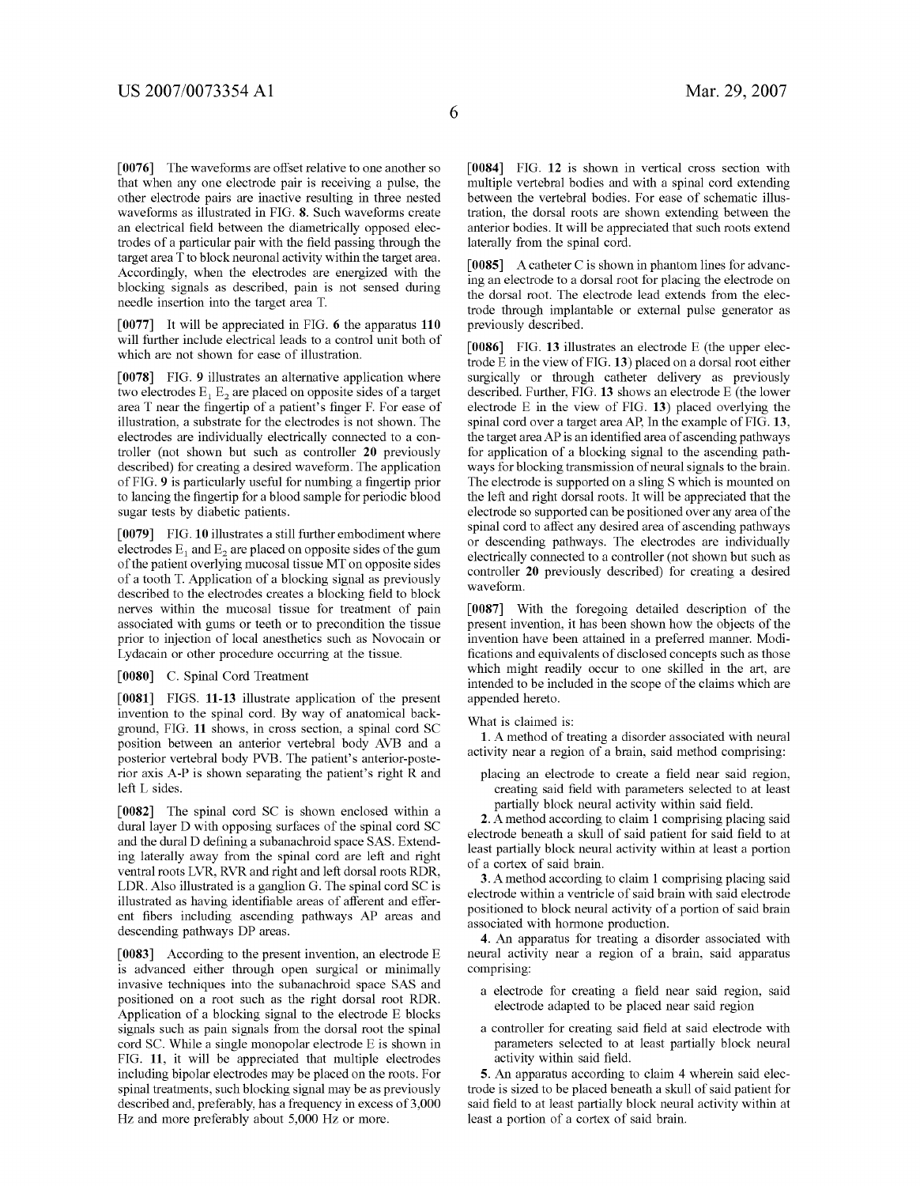[0076] The waveforms are offset relative to one another so that When any one electrode pair is receiving a pulse, the other electrode pairs are inactive resulting in three nested Waveforms as illustrated in FIG. 8. Such Waveforms create an electrical field between the diametrically opposed electrodes of a particular pair with the field passing through the target area T to block neuronal activity Within the target area. Accordingly, when the electrodes are energized with the blocking signals as described, pain is not sensed during needle insertion into the target area T.

[0077] It Will be appreciated in FIG. 6 the apparatus 110 Will further include electrical leads to a control unit both of Which are not shoWn for ease of illustration.

[0078] FIG. 9 illustrates an alternative application where two electrodes  $E_1$   $E_2$  are placed on opposite sides of a target area  $T$  near the fingertip of a patient's finger F. For ease of illustration, a substrate for the electrodes is not shoWn. The electrodes are individually electrically connected to a con troller (not shoWn but such as controller 20 previously described) for creating a desired Waveform. The application of FIG. 9 is particularly useful for numbing a fingertip prior to lancing the fingertip for a blood sample for periodic blood sugar tests by diabetic patients.

[0079] FIG. 10 illustrates a still further embodiment where electrodes  $E_1$  and  $E_2$  are placed on opposite sides of the gum of the patient overlying mucosal tissue MT on opposite sides of a tooth T. Application of a blocking signal as previously described to the electrodes creates a blocking field to block nerves Within the mucosal tissue for treatment of pain associated With gums or teeth or to precondition the tissue prior to injection of local anesthetics such as Novocain or Lydacain or other procedure occurring at the tissue.

[0080] C. Spinal Cord Treatment

[0081] FIGS. 11-13 illustrate application of the present invention to the spinal cord. By Way of anatomical back ground, FIG. 11 shoWs, in cross section, a spinal cord SC position betWeen an anterior vertebral body AVB and a posterior vertebral body PVB. The patient's anterior-poste rior axis A-P is shoWn separating the patient's right R and left L sides.

[0082] The spinal cord SC is shown enclosed within a dural layer D With opposing surfaces of the spinal cord SC and the dural D defining a subanachroid space SAS. Extending laterally aWay from the spinal cord are left and right ventral roots LVR, RVR and right and left dorsal roots RDR, LDR. Also illustrated is a ganglion G. The spinal cord SC is illustrated as having identifiable areas of afferent and efferent fibers including ascending pathways AP areas and descending pathWays DP areas.

[0083] According to the present invention, an electrode E is advanced either through open surgical or minimally invasive techniques into the subanachroid space SAS and positioned on a root such as the right dorsal root RDR. Application of a blocking signal to the electrode E blocks signals such as pain signals from the dorsal root the spinal cord SC. While a single monopolar electrode E is shoWn in FIG. 11, it Will be appreciated that multiple electrodes including bipolar electrodes may be placed on the roots. For spinal treatments, such blocking signal may be as previously described and, preferably, has a frequency in excess of 3,000 Hz and more preferably about 5,000 Hz or more.

[0084] FIG. 12 is shown in vertical cross section with multiple vertebral bodies and With a spinal cord extending between the vertebral bodies. For ease of schematic illustration, the dorsal roots are shown extending between the anterior bodies. It Will be appreciated that such roots extend laterally from the spinal cord.

[0085] A catheter C is shown in phantom lines for advancing an electrode to a dorsal root for placing the electrode on the dorsal root. The electrode lead extends from the elec trode through implantable or external pulse generator as previously described.

[0086] FIG. 13 illustrates an electrode E (the upper elec trode E in the vieW of FIG. 13) placed on a dorsal root either surgically or through catheter delivery as previously described. Further, FIG. 13 shows an electrode E (the lower electrode  $E$  in the view of FIG. 13) placed overlying the spinal cord over a target area AP, In the example of FIG. 13, the target area AP is an identified area of ascending pathways for application of a blocking signal to the ascending path Ways for blocking transmission of neural signals to the brain. The electrode is supported on a sling S Which is mounted on the left and right dorsal roots. It Will be appreciated that the electrode so supported can be positioned over any area of the spinal cord to affect any desired area of ascending pathways or descending pathWays. The electrodes are individually electrically connected to a controller (not shoWn but such as controller 20 previously described) for creating a desired Waveform.

[0087] With the foregoing detailed description of the present invention, it has been shoWn hoW the objects of the invention have been attained in a preferred manner. Modi fications and equivalents of disclosed concepts such as those Which might readily occur to one skilled in the art, are intended to be included in the scope of the claims Which are appended hereto.

What is claimed is:

1. A method of treating a disorder associated With neural activity near a region of a brain, said method comprising:

placing an electrode to create a field near said region, creating said field with parameters selected to at least partially block neural activity within said field.

2. A method according to claim 1 comprising placing said electrode beneath a skull of said patient for said field to at least partially block neural activity Within at least a portion of a cortex of said brain.

3. A method according to claim 1 comprising placing said electrode Within a ventricle of said brain With said electrode positioned to block neural activity of a portion of said brain associated With hormone production.

4. An apparatus for treating a disorder associated With neural activity near a region of a brain, said apparatus comprising:

- a electrode for creating a field near said region, said electrode adapted to be placed near said region
- a controller for creating said field at said electrode with parameters selected to at least partially block neural activity within said field.

5. An apparatus according to claim 4 Wherein said elec trode is sized to be placed beneath a skull of said patient for said field to at least partially block neural activity within at least a portion of a cortex of said brain.